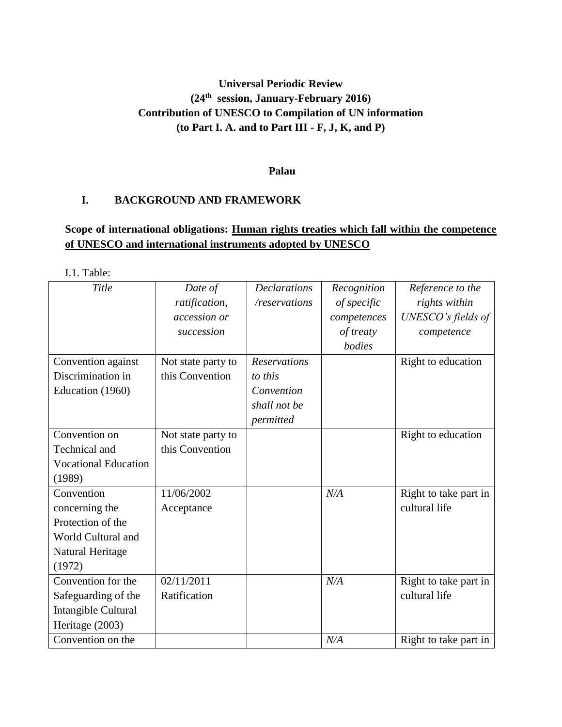# **Universal Periodic Review (24th session, January-February 2016) Contribution of UNESCO to Compilation of UN information (to Part I. A. and to Part III - F, J, K, and P)**

### **Palau**

### **I. BACKGROUND AND FRAMEWORK**

## **Scope of international obligations: Human rights treaties which fall within the competence of UNESCO and international instruments adopted by UNESCO**

I.1. Table:

| Title                       | Date of<br>ratification, | <b>Declarations</b><br>/reservations | Recognition<br>of specific | Reference to the<br>rights within |
|-----------------------------|--------------------------|--------------------------------------|----------------------------|-----------------------------------|
|                             | accession or             |                                      | competences                | UNESCO's fields of                |
|                             | succession               |                                      | of treaty                  | competence                        |
|                             |                          |                                      | bodies                     |                                   |
| Convention against          | Not state party to       | <b>Reservations</b>                  |                            | Right to education                |
| Discrimination in           | this Convention          | to this                              |                            |                                   |
| Education (1960)            |                          | Convention                           |                            |                                   |
|                             |                          | shall not be                         |                            |                                   |
|                             |                          | permitted                            |                            |                                   |
| Convention on               | Not state party to       |                                      |                            | Right to education                |
| Technical and               | this Convention          |                                      |                            |                                   |
| <b>Vocational Education</b> |                          |                                      |                            |                                   |
| (1989)                      |                          |                                      |                            |                                   |
| Convention                  | 11/06/2002               |                                      | N/A                        | Right to take part in             |
| concerning the              | Acceptance               |                                      |                            | cultural life                     |
| Protection of the           |                          |                                      |                            |                                   |
| World Cultural and          |                          |                                      |                            |                                   |
| Natural Heritage            |                          |                                      |                            |                                   |
| (1972)                      |                          |                                      |                            |                                   |
| Convention for the          | 02/11/2011               |                                      | N/A                        | Right to take part in             |
| Safeguarding of the         | Ratification             |                                      |                            | cultural life                     |
| Intangible Cultural         |                          |                                      |                            |                                   |
| Heritage (2003)             |                          |                                      |                            |                                   |
| Convention on the           |                          |                                      | N/A                        | Right to take part in             |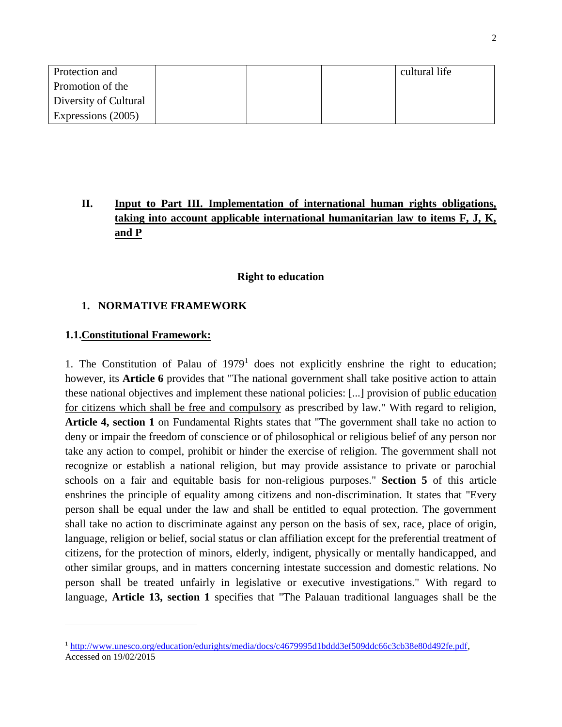| Protection and        |  | cultural life |
|-----------------------|--|---------------|
| Promotion of the      |  |               |
| Diversity of Cultural |  |               |
| Expressions (2005)    |  |               |

# **II. Input to Part III. Implementation of international human rights obligations, taking into account applicable international humanitarian law to items F, J, K, and P**

#### **Right to education**

### **1. NORMATIVE FRAMEWORK**

### **1.1.Constitutional Framework:**

l

1. The Constitution of Palau of  $1979<sup>1</sup>$  does not explicitly enshrine the right to education; however, its **Article 6** provides that "The national government shall take positive action to attain these national objectives and implement these national policies: [...] provision of public education for citizens which shall be free and compulsory as prescribed by law." With regard to religion, **Article 4, section 1** on Fundamental Rights states that "The government shall take no action to deny or impair the freedom of conscience or of philosophical or religious belief of any person nor take any action to compel, prohibit or hinder the exercise of religion. The government shall not recognize or establish a national religion, but may provide assistance to private or parochial schools on a fair and equitable basis for non-religious purposes." **Section 5** of this article enshrines the principle of equality among citizens and non-discrimination. It states that "Every person shall be equal under the law and shall be entitled to equal protection. The government shall take no action to discriminate against any person on the basis of sex, race, place of origin, language, religion or belief, social status or clan affiliation except for the preferential treatment of citizens, for the protection of minors, elderly, indigent, physically or mentally handicapped, and other similar groups, and in matters concerning intestate succession and domestic relations. No person shall be treated unfairly in legislative or executive investigations." With regard to language, **Article 13, section 1** specifies that "The Palauan traditional languages shall be the

<sup>1</sup> [http://www.unesco.org/education/edurights/media/docs/c4679995d1bddd3ef509ddc66c3cb38e80d492fe.pdf,](http://www.unesco.org/education/edurights/media/docs/c4679995d1bddd3ef509ddc66c3cb38e80d492fe.pdf) Accessed on 19/02/2015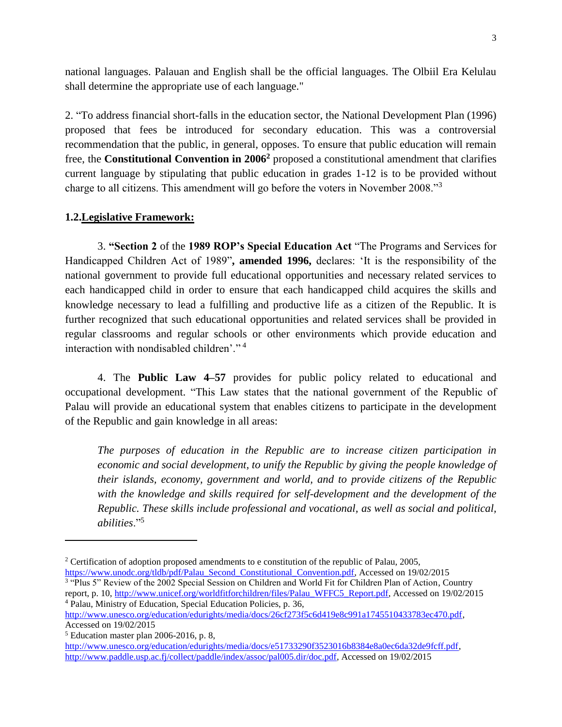national languages. Palauan and English shall be the official languages. The Olbiil Era Kelulau shall determine the appropriate use of each language."

2. "To address financial short-falls in the education sector, the National Development Plan (1996) proposed that fees be introduced for secondary education. This was a controversial recommendation that the public, in general, opposes. To ensure that public education will remain free, the **Constitutional Convention in 2006<sup>2</sup>** proposed a constitutional amendment that clarifies current language by stipulating that public education in grades 1-12 is to be provided without charge to all citizens. This amendment will go before the voters in November 2008."<sup>3</sup>

### **1.2.Legislative Framework:**

3. **"Section 2** of the **1989 ROP's Special Education Act** "The Programs and Services for Handicapped Children Act of 1989"**, amended 1996,** declares: 'It is the responsibility of the national government to provide full educational opportunities and necessary related services to each handicapped child in order to ensure that each handicapped child acquires the skills and knowledge necessary to lead a fulfilling and productive life as a citizen of the Republic. It is further recognized that such educational opportunities and related services shall be provided in regular classrooms and regular schools or other environments which provide education and interaction with nondisabled children'." <sup>4</sup>

4. The **Public Law 4–57** provides for public policy related to educational and occupational development. "This Law states that the national government of the Republic of Palau will provide an educational system that enables citizens to participate in the development of the Republic and gain knowledge in all areas:

*The purposes of education in the Republic are to increase citizen participation in economic and social development, to unify the Republic by giving the people knowledge of their islands, economy, government and world, and to provide citizens of the Republic with the knowledge and skills required for self-development and the development of the Republic. These skills include professional and vocational, as well as social and political, abilities*."<sup>5</sup>

<sup>&</sup>lt;sup>2</sup> Certification of adoption proposed amendments to e constitution of the republic of Palau, 2005, [https://www.unodc.org/tldb/pdf/Palau\\_Second\\_Constitutional\\_Convention.pdf,](https://www.unodc.org/tldb/pdf/Palau_Second_Constitutional_Convention.pdf) Accessed on 19/02/2015

<sup>&</sup>lt;sup>3</sup> "Plus 5" Review of the 2002 Special Session on Children and World Fit for Children Plan of Action, Country report, p. 10, [http://www.unicef.org/worldfitforchildren/files/Palau\\_WFFC5\\_Report.pdf,](http://www.unicef.org/worldfitforchildren/files/Palau_WFFC5_Report.pdf) Accessed on 19/02/2015 <sup>4</sup> Palau, Ministry of Education, Special Education Policies, p. 36,

[http://www.unesco.org/education/edurights/media/docs/26cf273f5c6d419e8c991a1745510433783ec470.pdf,](http://www.unesco.org/education/edurights/media/docs/26cf273f5c6d419e8c991a1745510433783ec470.pdf) Accessed on 19/02/2015

<sup>5</sup> Education master plan 2006-2016, p. 8,

[http://www.unesco.org/education/edurights/media/docs/e51733290f3523016b8384e8a0ec6da32de9fcff.pdf,](http://www.unesco.org/education/edurights/media/docs/e51733290f3523016b8384e8a0ec6da32de9fcff.pdf) [http://www.paddle.usp.ac.fj/collect/paddle/index/assoc/pal005.dir/doc.pdf,](http://www.paddle.usp.ac.fj/collect/paddle/index/assoc/pal005.dir/doc.pdf) Accessed on 19/02/2015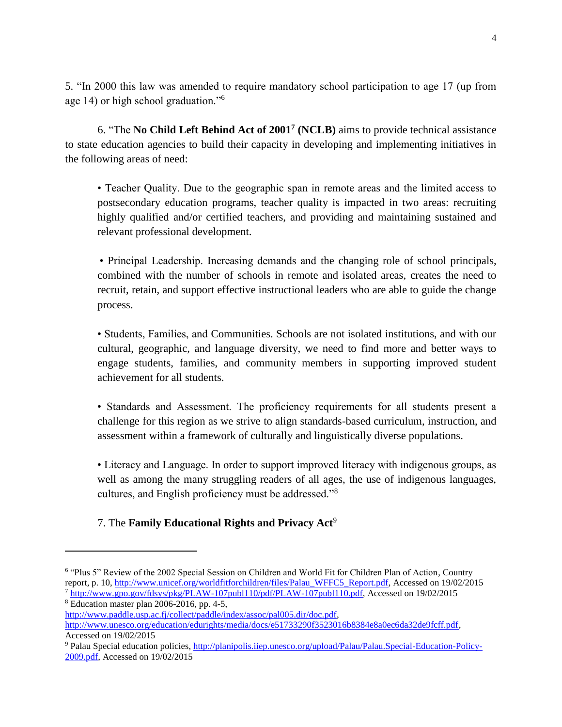5. "In 2000 this law was amended to require mandatory school participation to age 17 (up from age 14) or high school graduation."<sup>6</sup>

6. "The **No Child Left Behind Act of 2001<sup>7</sup> (NCLB)** aims to provide technical assistance to state education agencies to build their capacity in developing and implementing initiatives in the following areas of need:

• Teacher Quality. Due to the geographic span in remote areas and the limited access to postsecondary education programs, teacher quality is impacted in two areas: recruiting highly qualified and/or certified teachers, and providing and maintaining sustained and relevant professional development.

• Principal Leadership. Increasing demands and the changing role of school principals, combined with the number of schools in remote and isolated areas, creates the need to recruit, retain, and support effective instructional leaders who are able to guide the change process.

• Students, Families, and Communities. Schools are not isolated institutions, and with our cultural, geographic, and language diversity, we need to find more and better ways to engage students, families, and community members in supporting improved student achievement for all students.

• Standards and Assessment. The proficiency requirements for all students present a challenge for this region as we strive to align standards-based curriculum, instruction, and assessment within a framework of culturally and linguistically diverse populations.

• Literacy and Language. In order to support improved literacy with indigenous groups, as well as among the many struggling readers of all ages, the use of indigenous languages, cultures, and English proficiency must be addressed."<sup>8</sup>

## 7. The **Family Educational Rights and Privacy Act**<sup>9</sup>

<sup>&</sup>lt;sup>6</sup> "Plus 5" Review of the 2002 Special Session on Children and World Fit for Children Plan of Action, Country report, p. 10, [http://www.unicef.org/worldfitforchildren/files/Palau\\_WFFC5\\_Report.pdf,](http://www.unicef.org/worldfitforchildren/files/Palau_WFFC5_Report.pdf) Accessed on 19/02/2015 <sup>7</sup> [http://www.gpo.gov/fdsys/pkg/PLAW-107publ110/pdf/PLAW-107publ110.pdf,](http://www.gpo.gov/fdsys/pkg/PLAW-107publ110/pdf/PLAW-107publ110.pdf) Accessed on 19/02/2015

<sup>8</sup> Education master plan 2006-2016, pp. 4-5,

[http://www.paddle.usp.ac.fj/collect/paddle/index/assoc/pal005.dir/doc.pdf,](http://www.paddle.usp.ac.fj/collect/paddle/index/assoc/pal005.dir/doc.pdf)

[http://www.unesco.org/education/edurights/media/docs/e51733290f3523016b8384e8a0ec6da32de9fcff.pdf,](http://www.unesco.org/education/edurights/media/docs/e51733290f3523016b8384e8a0ec6da32de9fcff.pdf) Accessed on 19/02/2015

<sup>9</sup> Palau Special education policies, [http://planipolis.iiep.unesco.org/upload/Palau/Palau.Special-Education-Policy-](http://planipolis.iiep.unesco.org/upload/Palau/Palau.Special-Education-Policy-2009.pdf)[2009.pdf,](http://planipolis.iiep.unesco.org/upload/Palau/Palau.Special-Education-Policy-2009.pdf) Accessed on 19/02/2015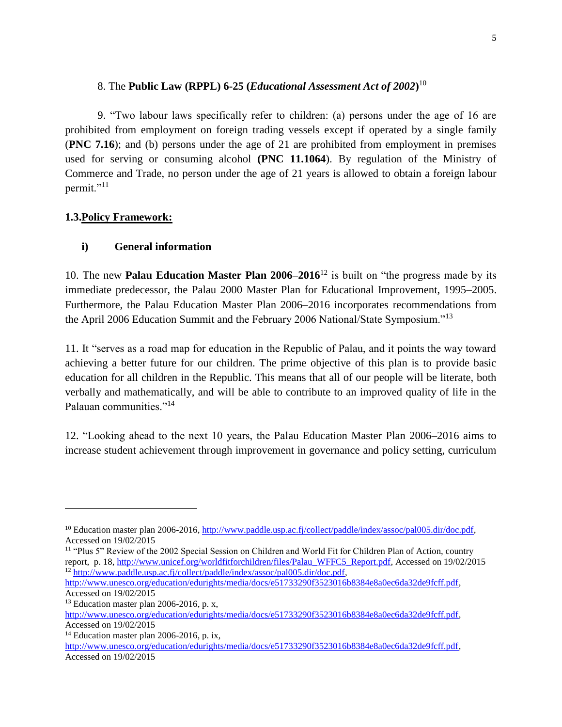### 8. The **Public Law (RPPL) 6-25 (***Educational Assessment Act of 2002***)** 10

9. "Two labour laws specifically refer to children: (a) persons under the age of 16 are prohibited from employment on foreign trading vessels except if operated by a single family (**PNC 7.16**); and (b) persons under the age of 21 are prohibited from employment in premises used for serving or consuming alcohol **(PNC 11.1064**). By regulation of the Ministry of Commerce and Trade, no person under the age of 21 years is allowed to obtain a foreign labour permit."<sup>11</sup>

## **1.3.Policy Framework:**

## **i) General information**

10. The new **Palau Education Master Plan 2006–2016**<sup>12</sup> is built on "the progress made by its immediate predecessor, the Palau 2000 Master Plan for Educational Improvement, 1995–2005. Furthermore, the Palau Education Master Plan 2006–2016 incorporates recommendations from the April 2006 Education Summit and the February 2006 National/State Symposium."<sup>13</sup>

11. It "serves as a road map for education in the Republic of Palau, and it points the way toward achieving a better future for our children. The prime objective of this plan is to provide basic education for all children in the Republic. This means that all of our people will be literate, both verbally and mathematically, and will be able to contribute to an improved quality of life in the Palauan communities."<sup>14</sup>

12. "Looking ahead to the next 10 years, the Palau Education Master Plan 2006–2016 aims to increase student achievement through improvement in governance and policy setting, curriculum

<sup>&</sup>lt;sup>10</sup> Education master plan 2006-2016, [http://www.paddle.usp.ac.fj/collect/paddle/index/assoc/pal005.dir/doc.pdf,](http://www.paddle.usp.ac.fj/collect/paddle/index/assoc/pal005.dir/doc.pdf) Accessed on 19/02/2015

<sup>11</sup> "Plus 5" Review of the 2002 Special Session on Children and World Fit for Children Plan of Action, country report, p. 18, [http://www.unicef.org/worldfitforchildren/files/Palau\\_WFFC5\\_Report.pdf,](http://www.unicef.org/worldfitforchildren/files/Palau_WFFC5_Report.pdf) Accessed on 19/02/2015 <sup>12</sup> [http://www.paddle.usp.ac.fj/collect/paddle/index/assoc/pal005.dir/doc.pdf,](http://www.paddle.usp.ac.fj/collect/paddle/index/assoc/pal005.dir/doc.pdf)

[http://www.unesco.org/education/edurights/media/docs/e51733290f3523016b8384e8a0ec6da32de9fcff.pdf,](http://www.unesco.org/education/edurights/media/docs/e51733290f3523016b8384e8a0ec6da32de9fcff.pdf) Accessed on 19/02/2015

 $13$  Education master plan 2006-2016, p. x,

[http://www.unesco.org/education/edurights/media/docs/e51733290f3523016b8384e8a0ec6da32de9fcff.pdf,](http://www.unesco.org/education/edurights/media/docs/e51733290f3523016b8384e8a0ec6da32de9fcff.pdf) Accessed on 19/02/2015

<sup>&</sup>lt;sup>14</sup> Education master plan 2006-2016, p. ix,

[http://www.unesco.org/education/edurights/media/docs/e51733290f3523016b8384e8a0ec6da32de9fcff.pdf,](http://www.unesco.org/education/edurights/media/docs/e51733290f3523016b8384e8a0ec6da32de9fcff.pdf) Accessed on 19/02/2015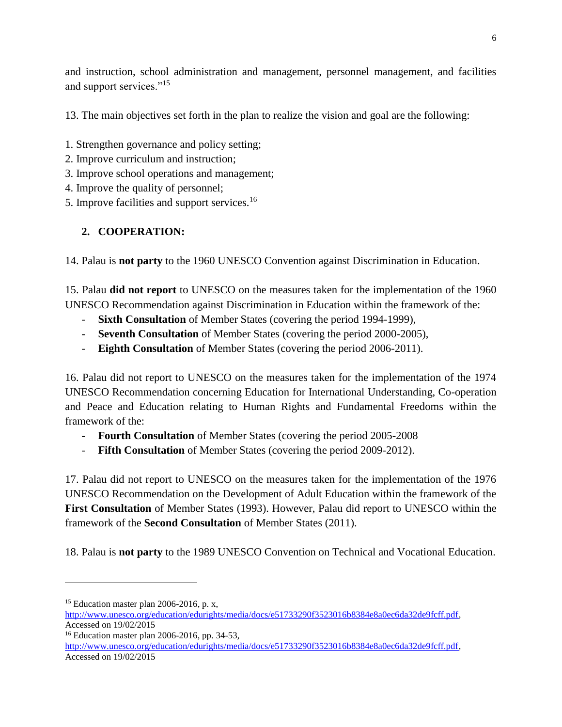and instruction, school administration and management, personnel management, and facilities and support services."<sup>15</sup>

13. The main objectives set forth in the plan to realize the vision and goal are the following:

- 1. Strengthen governance and policy setting;
- 2. Improve curriculum and instruction;
- 3. Improve school operations and management;
- 4. Improve the quality of personnel;
- 5. Improve facilities and support services.<sup>16</sup>

# **2. COOPERATION:**

14. Palau is **not party** to the 1960 UNESCO Convention against Discrimination in Education.

15. Palau **did not report** to UNESCO on the measures taken for the implementation of the 1960 UNESCO Recommendation against Discrimination in Education within the framework of the:

- **Sixth Consultation** of Member States (covering the period 1994-1999),
- **Seventh Consultation** of Member States (covering the period 2000-2005),
- **Eighth Consultation** of Member States (covering the period 2006-2011).

16. Palau did not report to UNESCO on the measures taken for the implementation of the 1974 UNESCO Recommendation concerning Education for International Understanding, Co-operation and Peace and Education relating to Human Rights and Fundamental Freedoms within the framework of the:

- **Fourth Consultation** of Member States (covering the period 2005-2008)
- **Fifth Consultation** of Member States (covering the period 2009-2012).

17. Palau did not report to UNESCO on the measures taken for the implementation of the 1976 UNESCO Recommendation on the Development of Adult Education within the framework of the **First Consultation** of Member States (1993). However, Palau did report to UNESCO within the framework of the **Second Consultation** of Member States (2011).

18. Palau is **not party** to the 1989 UNESCO Convention on Technical and Vocational Education.

 $15$  Education master plan 2006-2016, p. x,

[http://www.unesco.org/education/edurights/media/docs/e51733290f3523016b8384e8a0ec6da32de9fcff.pdf,](http://www.unesco.org/education/edurights/media/docs/e51733290f3523016b8384e8a0ec6da32de9fcff.pdf) Accessed on 19/02/2015

<sup>16</sup> Education master plan 2006-2016, pp. 34-53,

[http://www.unesco.org/education/edurights/media/docs/e51733290f3523016b8384e8a0ec6da32de9fcff.pdf,](http://www.unesco.org/education/edurights/media/docs/e51733290f3523016b8384e8a0ec6da32de9fcff.pdf) Accessed on 19/02/2015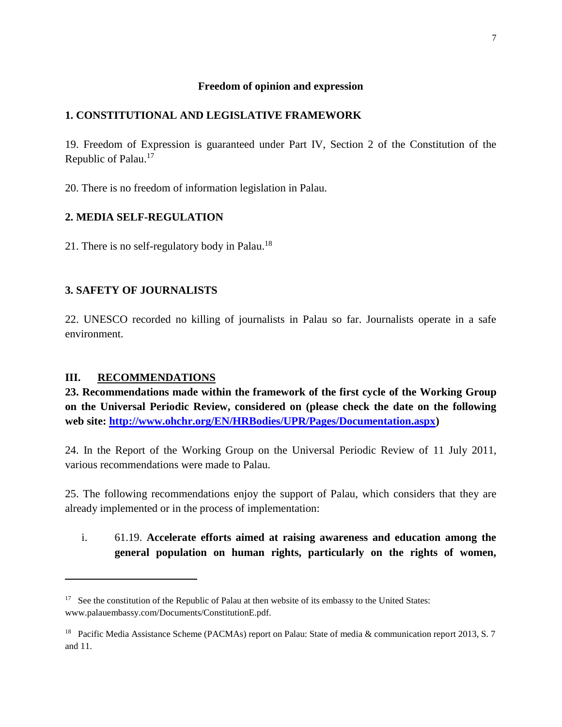#### **Freedom of opinion and expression**

### **1. CONSTITUTIONAL AND LEGISLATIVE FRAMEWORK**

19. Freedom of Expression is guaranteed under Part IV, Section 2 of the Constitution of the Republic of Palau.<sup>17</sup>

20. There is no freedom of information legislation in Palau.

### **2. MEDIA SELF-REGULATION**

21. There is no self-regulatory body in Palau.<sup>18</sup>

## **3. SAFETY OF JOURNALISTS**

22. UNESCO recorded no killing of journalists in Palau so far. Journalists operate in a safe environment.

### **III. RECOMMENDATIONS**

l

**23. Recommendations made within the framework of the first cycle of the Working Group on the Universal Periodic Review, considered on (please check the date on the following web site: [http://www.ohchr.org/EN/HRBodies/UPR/Pages/Documentation.aspx\)](http://www.ohchr.org/EN/HRBodies/UPR/Pages/Documentation.aspx)** 

24. In the Report of the Working Group on the Universal Periodic Review of 11 July 2011, various recommendations were made to Palau.

25. The following recommendations enjoy the support of Palau, which considers that they are already implemented or in the process of implementation:

i. 61.19. **Accelerate efforts aimed at raising awareness and education among the general population on human rights, particularly on the rights of women,** 

<sup>&</sup>lt;sup>17</sup> See the constitution of the Republic of Palau at then website of its embassy to the United States: www.palauembassy.com/Documents/ConstitutionE.pdf.

<sup>&</sup>lt;sup>18</sup> Pacific Media Assistance Scheme (PACMAs) report on Palau: State of media & communication report 2013, S. 7 and 11.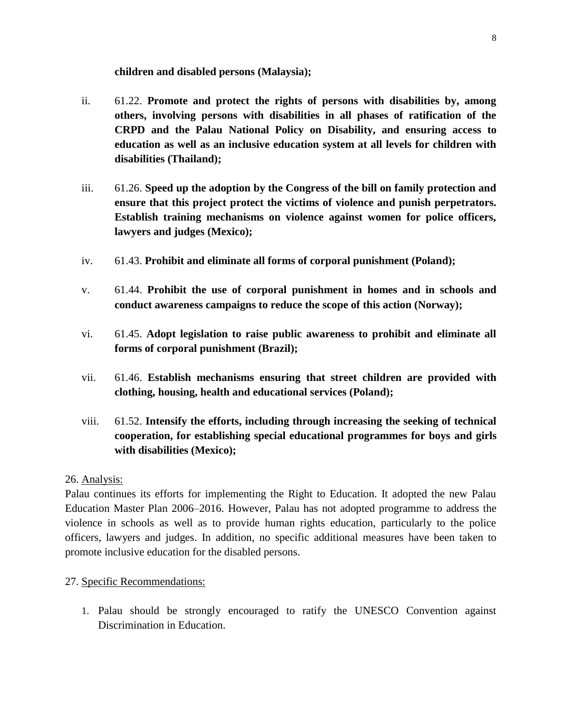**children and disabled persons (Malaysia);** 

- ii. 61.22. **Promote and protect the rights of persons with disabilities by, among others, involving persons with disabilities in all phases of ratification of the CRPD and the Palau National Policy on Disability, and ensuring access to education as well as an inclusive education system at all levels for children with disabilities (Thailand);**
- iii. 61.26. **Speed up the adoption by the Congress of the bill on family protection and ensure that this project protect the victims of violence and punish perpetrators. Establish training mechanisms on violence against women for police officers, lawyers and judges (Mexico);**
- iv. 61.43. **Prohibit and eliminate all forms of corporal punishment (Poland);**
- v. 61.44. **Prohibit the use of corporal punishment in homes and in schools and conduct awareness campaigns to reduce the scope of this action (Norway);**
- vi. 61.45. **Adopt legislation to raise public awareness to prohibit and eliminate all forms of corporal punishment (Brazil);**
- vii. 61.46. **Establish mechanisms ensuring that street children are provided with clothing, housing, health and educational services (Poland);**
- viii. 61.52. **Intensify the efforts, including through increasing the seeking of technical cooperation, for establishing special educational programmes for boys and girls with disabilities (Mexico);**

## 26. Analysis:

Palau continues its efforts for implementing the Right to Education. It adopted the new Palau Education Master Plan 2006–2016. However, Palau has not adopted programme to address the violence in schools as well as to provide human rights education, particularly to the police officers, lawyers and judges. In addition, no specific additional measures have been taken to promote inclusive education for the disabled persons.

## 27. Specific Recommendations:

1. Palau should be strongly encouraged to ratify the UNESCO Convention against Discrimination in Education.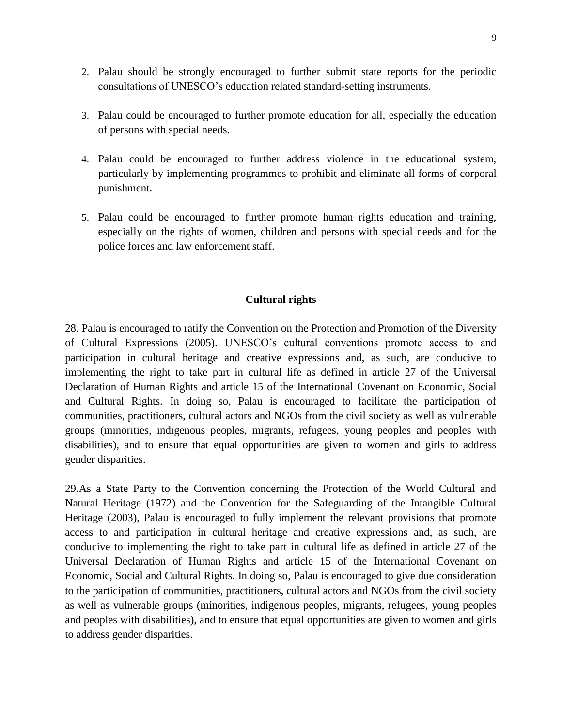- 2. Palau should be strongly encouraged to further submit state reports for the periodic consultations of UNESCO's education related standard-setting instruments.
- 3. Palau could be encouraged to further promote education for all, especially the education of persons with special needs.
- 4. Palau could be encouraged to further address violence in the educational system, particularly by implementing programmes to prohibit and eliminate all forms of corporal punishment.
- 5. Palau could be encouraged to further promote human rights education and training, especially on the rights of women, children and persons with special needs and for the police forces and law enforcement staff.

### **Cultural rights**

28. Palau is encouraged to ratify the Convention on the Protection and Promotion of the Diversity of Cultural Expressions (2005). UNESCO's cultural conventions promote access to and participation in cultural heritage and creative expressions and, as such, are conducive to implementing the right to take part in cultural life as defined in article 27 of the Universal Declaration of Human Rights and article 15 of the International Covenant on Economic, Social and Cultural Rights. In doing so, Palau is encouraged to facilitate the participation of communities, practitioners, cultural actors and NGOs from the civil society as well as vulnerable groups (minorities, indigenous peoples, migrants, refugees, young peoples and peoples with disabilities), and to ensure that equal opportunities are given to women and girls to address gender disparities.

29.As a State Party to the Convention concerning the Protection of the World Cultural and Natural Heritage (1972) and the Convention for the Safeguarding of the Intangible Cultural Heritage (2003), Palau is encouraged to fully implement the relevant provisions that promote access to and participation in cultural heritage and creative expressions and, as such, are conducive to implementing the right to take part in cultural life as defined in article 27 of the Universal Declaration of Human Rights and article 15 of the International Covenant on Economic, Social and Cultural Rights. In doing so, Palau is encouraged to give due consideration to the participation of communities, practitioners, cultural actors and NGOs from the civil society as well as vulnerable groups (minorities, indigenous peoples, migrants, refugees, young peoples and peoples with disabilities), and to ensure that equal opportunities are given to women and girls to address gender disparities.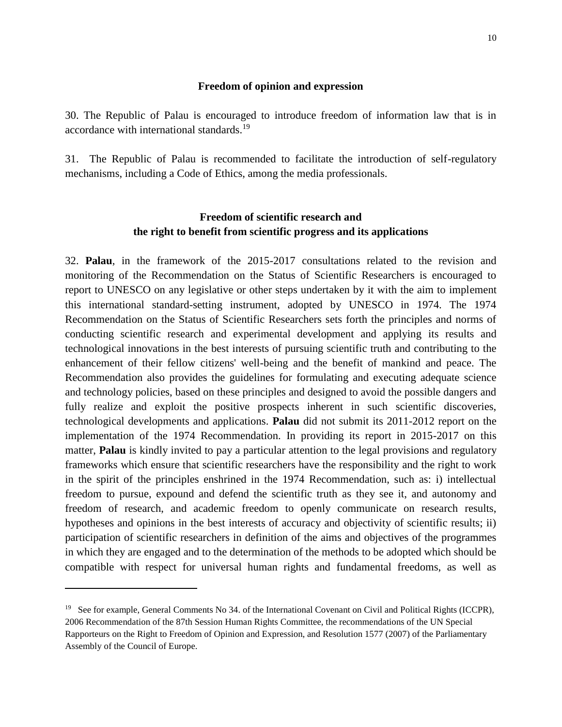#### **Freedom of opinion and expression**

30. The Republic of Palau is encouraged to introduce freedom of information law that is in accordance with international standards.<sup>19</sup>

31. The Republic of Palau is recommended to facilitate the introduction of self-regulatory mechanisms, including a Code of Ethics, among the media professionals.

## **Freedom of scientific research and the right to benefit from scientific progress and its applications**

32. **Palau**, in the framework of the 2015-2017 consultations related to the revision and monitoring of the Recommendation on the Status of Scientific Researchers is encouraged to report to UNESCO on any legislative or other steps undertaken by it with the aim to implement this international standard-setting instrument, adopted by UNESCO in 1974. The 1974 Recommendation on the Status of Scientific Researchers sets forth the principles and norms of conducting scientific research and experimental development and applying its results and technological innovations in the best interests of pursuing scientific truth and contributing to the enhancement of their fellow citizens' well-being and the benefit of mankind and peace. The Recommendation also provides the guidelines for formulating and executing adequate science and technology policies, based on these principles and designed to avoid the possible dangers and fully realize and exploit the positive prospects inherent in such scientific discoveries, technological developments and applications. **Palau** did not submit its 2011-2012 report on the implementation of the 1974 Recommendation. In providing its report in 2015-2017 on this matter, **Palau** is kindly invited to pay a particular attention to the legal provisions and regulatory frameworks which ensure that scientific researchers have the responsibility and the right to work in the spirit of the principles enshrined in the 1974 Recommendation, such as: i) intellectual freedom to pursue, expound and defend the scientific truth as they see it, and autonomy and freedom of research, and academic freedom to openly communicate on research results, hypotheses and opinions in the best interests of accuracy and objectivity of scientific results; ii) participation of scientific researchers in definition of the aims and objectives of the programmes in which they are engaged and to the determination of the methods to be adopted which should be compatible with respect for universal human rights and fundamental freedoms, as well as

<sup>&</sup>lt;sup>19</sup> See for example, General Comments No 34. of the International Covenant on Civil and Political Rights (ICCPR), 2006 Recommendation of the 87th Session Human Rights Committee, the recommendations of the UN Special Rapporteurs on the Right to Freedom of Opinion and Expression, and Resolution 1577 (2007) of the Parliamentary Assembly of the Council of Europe.